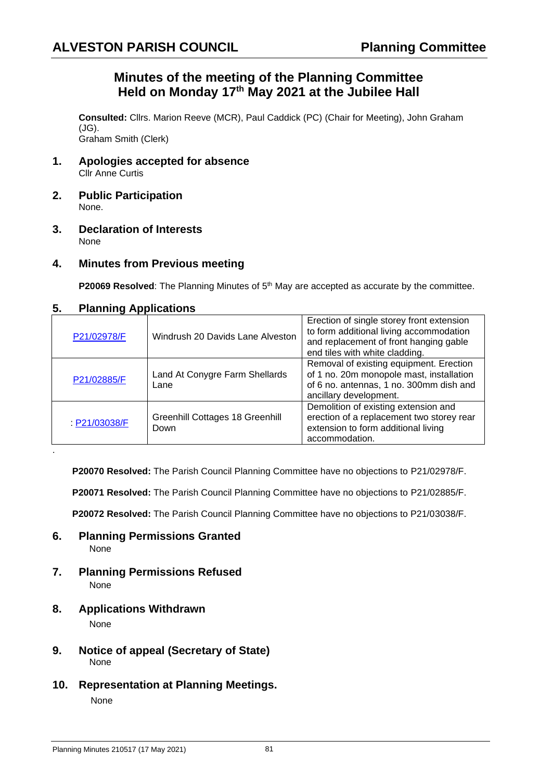## **Minutes of the meeting of the Planning Committee Held on Monday 17th May 2021 at the Jubilee Hall**

**Consulted:** Cllrs. Marion Reeve (MCR), Paul Caddick (PC) (Chair for Meeting), John Graham (JG). Graham Smith (Clerk)

- **1. Apologies accepted for absence** Cllr Anne Curtis
- **2. Public Participation** None.
- **3. Declaration of Interests** None
- **4. Minutes from Previous meeting**

**P20069 Resolved**: The Planning Minutes of 5<sup>th</sup> May are accepted as accurate by the committee.

## **5. Planning Applications**

| $\frac{1}{2}$ |                                         |                                                                                                                                                                  |
|---------------|-----------------------------------------|------------------------------------------------------------------------------------------------------------------------------------------------------------------|
| P21/02978/F   | Windrush 20 Davids Lane Alveston        | Erection of single storey front extension<br>to form additional living accommodation<br>and replacement of front hanging gable<br>end tiles with white cladding. |
| P21/02885/F   | Land At Conygre Farm Shellards<br>Lane  | Removal of existing equipment. Erection<br>of 1 no. 20m monopole mast, installation<br>of 6 no. antennas, 1 no. 300mm dish and<br>ancillary development.         |
| P21/03038/F   | Greenhill Cottages 18 Greenhill<br>Down | Demolition of existing extension and<br>erection of a replacement two storey rear<br>extension to form additional living<br>accommodation.                       |
|               |                                         |                                                                                                                                                                  |

**P20070 Resolved:** The Parish Council Planning Committee have no objections to P21/02978/F.

**P20071 Resolved:** The Parish Council Planning Committee have no objections to P21/02885/F.

**P20072 Resolved:** The Parish Council Planning Committee have no objections to P21/03038/F.

- **6. Planning Permissions Granted** None
- **7. Planning Permissions Refused** None
- **8. Applications Withdrawn**

None

- **9. Notice of appeal (Secretary of State)**  None
- **10. Representation at Planning Meetings.** None